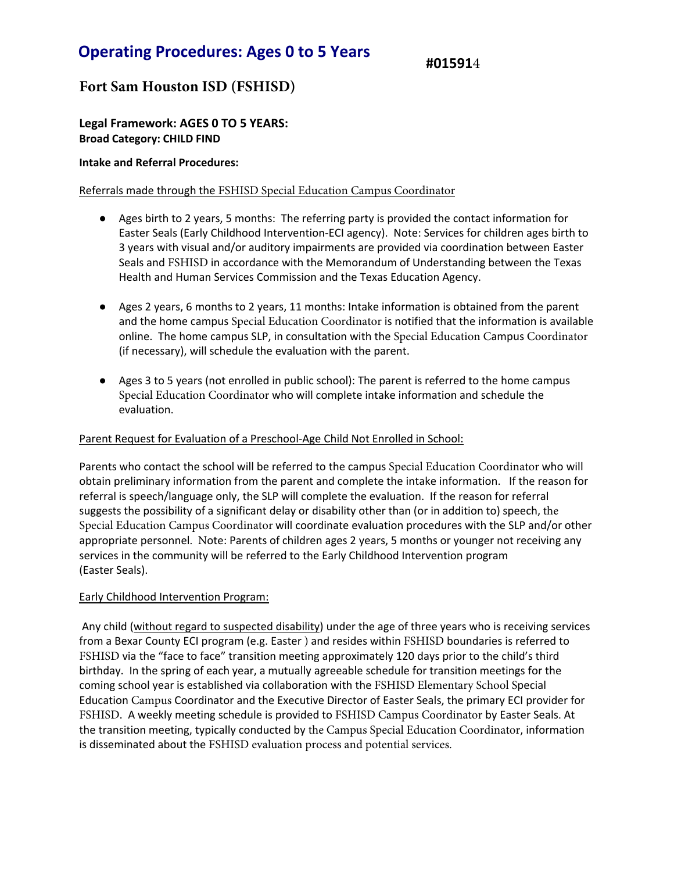# Operating Procedures: Ages 0 to 5 Years

#015914

## **Fort Sam Houston ISD (FSHISD)**

Legal Framework: AGES 0 TO 5 YEARS: Broad Category: CHILD FIND

### Intake and Referral Procedures:

### Referrals made through the FSHISD Special Education Campus Coordinator

- Ages birth to 2 years, 5 months: The referring party is provided the contact information for Easter Seals (Early Childhood Intervention-ECI agency). Note: Services for children ages birth to 3 years with visual and/or auditory impairments are provided via coordination between Easter Seals and FSHISD in accordance with the Memorandum of Understanding between the Texas Health and Human Services Commission and the Texas Education Agency.
- Ages 2 years, 6 months to 2 years, 11 months: Intake information is obtained from the parent and the home campus Special Education Coordinator is notified that the information is available online. The home campus SLP, in consultation with the Special Education Campus Coordinator (if necessary), will schedule the evaluation with the parent.
- Ages 3 to 5 years (not enrolled in public school): The parent is referred to the home campus Special Education Coordinator who will complete intake information and schedule the evaluation.

### Parent Request for Evaluation of a Preschool-Age Child Not Enrolled in School:

Parents who contact the school will be referred to the campus Special Education Coordinator who will obtain preliminary information from the parent and complete the intake information. If the reason for referral is speech/language only, the SLP will complete the evaluation. If the reason for referral suggests the possibility of a significant delay or disability other than (or in addition to) speech, the Special Education Campus Coordinator will coordinate evaluation procedures with the SLP and/or other appropriate personnel. Note: Parents of children ages 2 years, 5 months or younger not receiving any services in the community will be referred to the Early Childhood Intervention program (Easter Seals).

### Early Childhood Intervention Program:

Any child (without regard to suspected disability) under the age of three years who is receiving services from a Bexar County ECI program (e.g. Easter ) and resides within FSHISD boundaries is referred to FSHISD via the "face to face" transition meeting approximately 120 days prior to the child's third birthday. In the spring of each year, a mutually agreeable schedule for transition meetings for the coming school year is established via collaboration with the FSHISD Elementary School Special Education Campus Coordinator and the Executive Director of Easter Seals, the primary ECI provider for FSHISD. A weekly meeting schedule is provided to FSHISD Campus Coordinator by Easter Seals. At the transition meeting, typically conducted by the Campus Special Education Coordinator, information is disseminated about the FSHISD evaluation process and potential services.